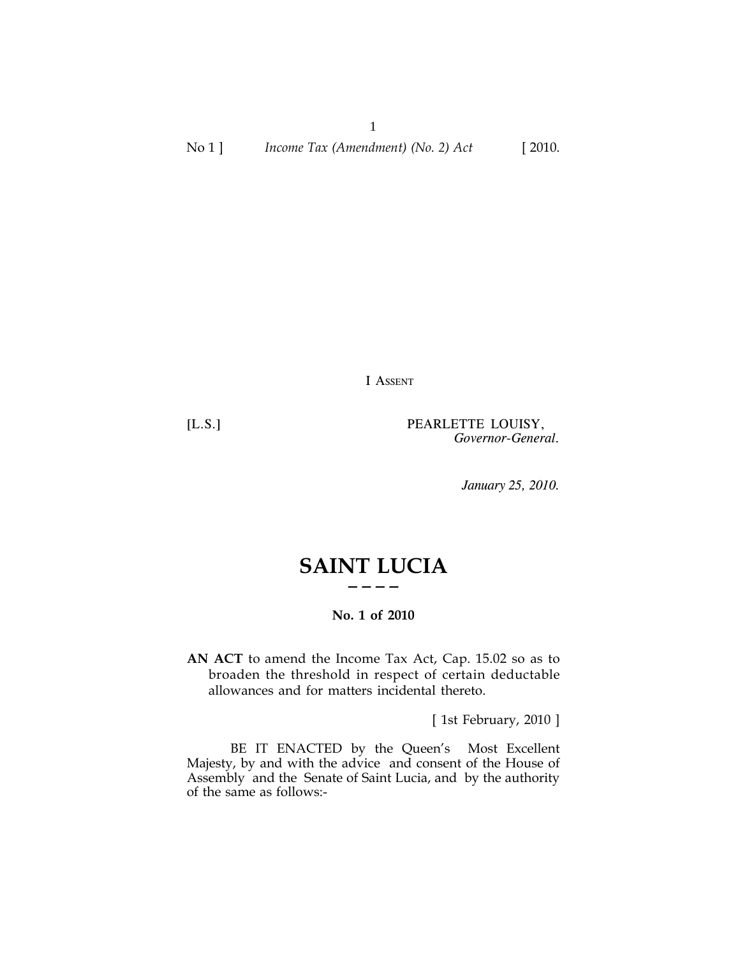1 No 1 ] *Income Tax (Amendment) (No. 2) Act* [ 2010.

I ASSENT

[L.S.] PEARLETTE LOUISY, *Governor-General.*

*January 25, 2010.*

# **SAINT LUCIA ————**

## **No. 1 of 2010**

**AN ACT** to amend the Income Tax Act, Cap. 15.02 so as to broaden the threshold in respect of certain deductable allowances and for matters incidental thereto.

[ 1st February, 2010 ]

BE IT ENACTED by the Queen's Most Excellent Majesty, by and with the advice and consent of the House of Assembly and the Senate of Saint Lucia, and by the authority of the same as follows:-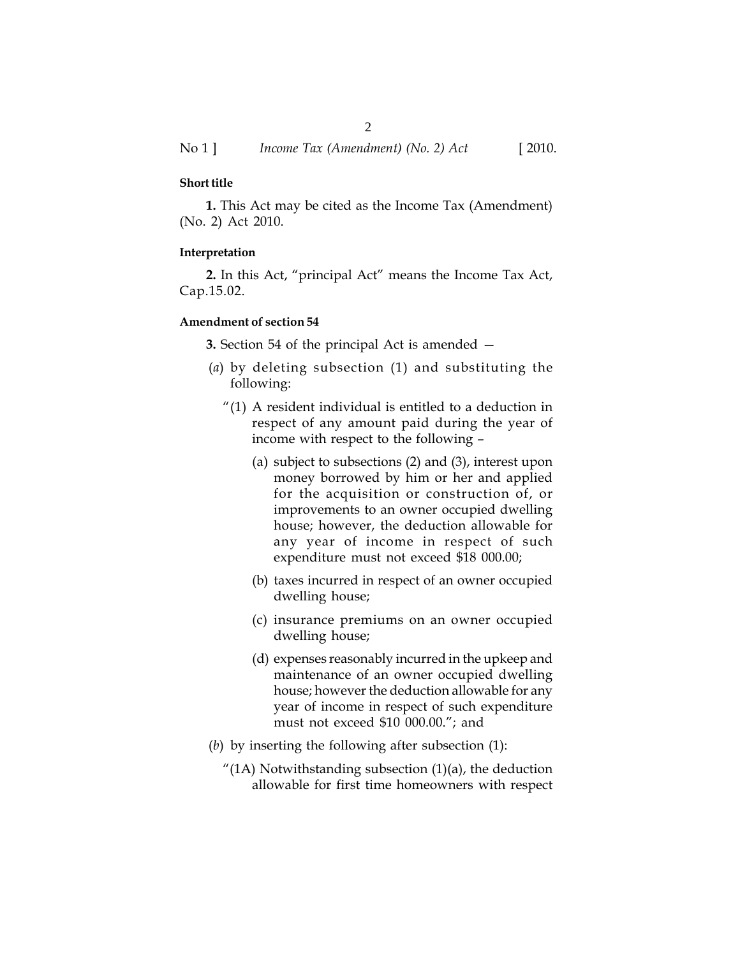## **Short title**

**1.** This Act may be cited as the Income Tax (Amendment) (No. 2) Act 2010.

## **Interpretation**

**2.** In this Act, "principal Act" means the Income Tax Act, Cap.15.02.

### **Amendment of section 54**

**3.** Section 54 of the principal Act is amended —

- (*a*) by deleting subsection (1) and substituting the following:
	- "(1) A resident individual is entitled to a deduction in respect of any amount paid during the year of income with respect to the following –
		- (a) subject to subsections (2) and (3), interest upon money borrowed by him or her and applied for the acquisition or construction of, or improvements to an owner occupied dwelling house; however, the deduction allowable for any year of income in respect of such expenditure must not exceed \$18 000.00;
		- (b) taxes incurred in respect of an owner occupied dwelling house;
		- (c) insurance premiums on an owner occupied dwelling house;
		- (d) expenses reasonably incurred in the upkeep and maintenance of an owner occupied dwelling house; however the deduction allowable for any year of income in respect of such expenditure must not exceed \$10 000.00."; and
- (*b*) by inserting the following after subsection (1):
	- "(1A) Notwithstanding subsection  $(1)(a)$ , the deduction allowable for first time homeowners with respect